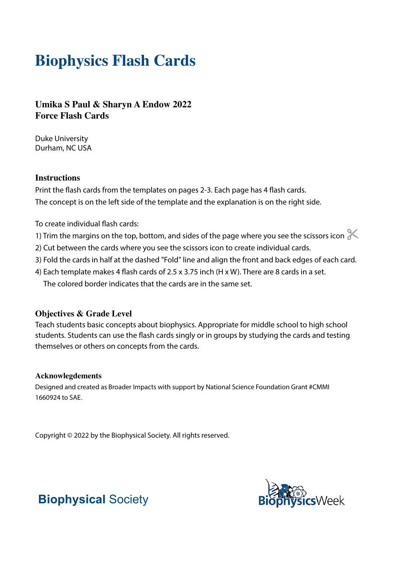# **Biophysics Flash Cards**

**Umika S Paul & Sharyn A Endow 2022 Force Flash Cards**

Duke University Durham, NC USA

#### **Instructions**

Print the flash cards from the templates on pages 2-3. Each page has 4 flash cards. The concept is on the left side of the template and the explanation is on the right side.

To create individual flash cards:

- 1) Trim the margins on the top, bottom, and sides of the page where you see the scissors icon  $\ll$
- 2) Cut between the cards where you see the scissors icon to create individual cards.
- 3) Fold the cards in half at the dashed "Fold" line and align the front and back edges of each card.
- 4) Each template makes 4 flash cards of 2.5 x 3.75 inch (H x W). There are 8 cards in a set. The colored border indicates that the cards are in the same set.

### **Objectives & Grade Level**

Teach students basic concepts about biophysics. Appropriate for middle school to high school students. Students can use the flash cards singly or in groups by studying the cards and testing themselves or others on concepts from the cards.

#### **Acknowlegdements**

Designed and created as Broader Impacts with support by National Science Foundation Grant #CMMI 1660924 to SAE.

Copyright © 2022 by the Biophysical Society. All rights reserved.



## **Biophysical** Society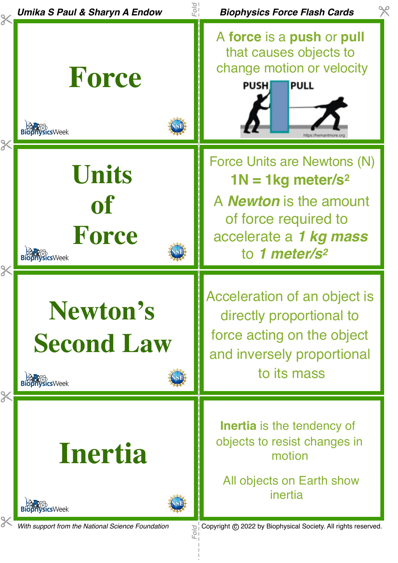